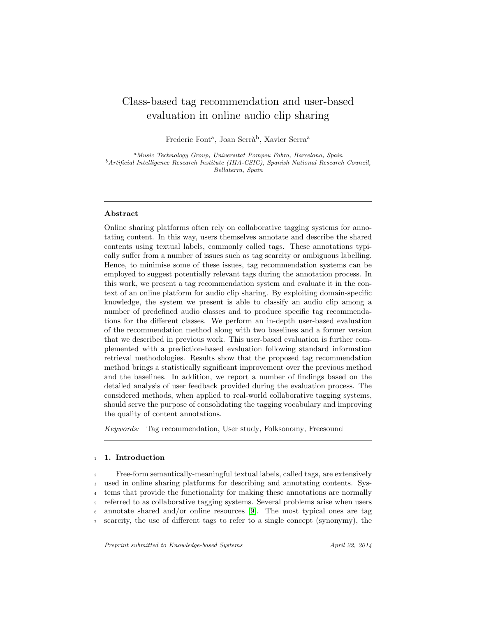## Class-based tag recommendation and user-based evaluation in online audio clip sharing

Frederic Font<sup>a</sup>, Joan Serrà<sup>b</sup>, Xavier Serra<sup>a</sup>

<sup>a</sup>Music Technology Group, Universitat Pompeu Fabra, Barcelona, Spain <sup>b</sup>Artificial Intelligence Research Institute (IIIA-CSIC), Spanish National Research Council, Bellaterra, Spain

## Abstract

Online sharing platforms often rely on collaborative tagging systems for annotating content. In this way, users themselves annotate and describe the shared contents using textual labels, commonly called tags. These annotations typically suffer from a number of issues such as tag scarcity or ambiguous labelling. Hence, to minimise some of these issues, tag recommendation systems can be employed to suggest potentially relevant tags during the annotation process. In this work, we present a tag recommendation system and evaluate it in the context of an online platform for audio clip sharing. By exploiting domain-specific knowledge, the system we present is able to classify an audio clip among a number of predefined audio classes and to produce specific tag recommendations for the different classes. We perform an in-depth user-based evaluation of the recommendation method along with two baselines and a former version that we described in previous work. This user-based evaluation is further complemented with a prediction-based evaluation following standard information retrieval methodologies. Results show that the proposed tag recommendation method brings a statistically significant improvement over the previous method and the baselines. In addition, we report a number of findings based on the detailed analysis of user feedback provided during the evaluation process. The considered methods, when applied to real-world collaborative tagging systems, should serve the purpose of consolidating the tagging vocabulary and improving the quality of content annotations.

Keywords: Tag recommendation, User study, Folksonomy, Freesound

## <span id="page-0-0"></span>1. Introduction

<sup>2</sup> Free-form semantically-meaningful textual labels, called tags, are extensively used in online sharing platforms for describing and annotating contents. Systems that provide the functionality for making these annotations are normally <sup>5</sup> referred to as collaborative tagging systems. Several problems arise when users annotate shared and/or online resources  $[9]$ . The most typical ones are tag <sup>7</sup> scarcity, the use of different tags to refer to a single concept (synonymy), the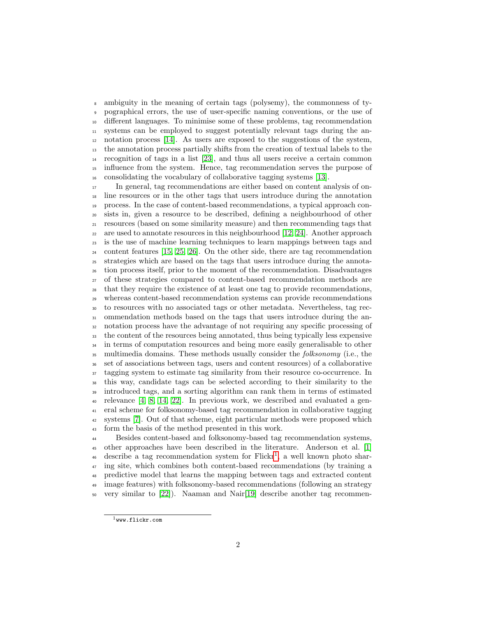ambiguity in the meaning of certain tags (polysemy), the commonness of ty- pographical errors, the use of user-specific naming conventions, or the use of different languages. To minimise some of these problems, tag recommendation systems can be employed to suggest potentially relevant tags during the an- notation process [\[14\]](#page-23-0). As users are exposed to the suggestions of the system, the annotation process partially shifts from the creation of textual labels to the recognition of tags in a list [\[23\]](#page-23-1), and thus all users receive a certain common influence from the system. Hence, tag recommendation serves the purpose of consolidating the vocabulary of collaborative tagging systems [\[13\]](#page-23-2).

 In general, tag recommendations are either based on content analysis of on- line resources or in the other tags that users introduce during the annotation process. In the case of content-based recommendations, a typical approach con- sists in, given a resource to be described, defining a neighbourhood of other resources (based on some similarity measure) and then recommending tags that  $_{22}$  are used to annotate resources in this neighbourhood [\[12,](#page-22-1) [24\]](#page-23-3). Another approach is the use of machine learning techniques to learn mappings between tags and content features [\[15,](#page-23-4) [25,](#page-24-0) [26\]](#page-24-1). On the other side, there are tag recommendation strategies which are based on the tags that users introduce during the annota- tion process itself, prior to the moment of the recommendation. Disadvantages of these strategies compared to content-based recommendation methods are that they require the existence of at least one tag to provide recommendations, whereas content-based recommendation systems can provide recommendations to resources with no associated tags or other metadata. Nevertheless, tag rec- ommendation methods based on the tags that users introduce during the an- notation process have the advantage of not requiring any specific processing of the content of the resources being annotated, thus being typically less expensive <sup>34</sup> in terms of computation resources and being more easily generalisable to other <sup>35</sup> multimedia domains. These methods usually consider the *folksonomy* (i.e., the set of associations between tags, users and content resources) of a collaborative tagging system to estimate tag similarity from their resource co-occurrence. In this way, candidate tags can be selected according to their similarity to the introduced tags, and a sorting algorithm can rank them in terms of estimated relevance [\[4,](#page-22-2) [8,](#page-22-3) [14,](#page-23-0) [22\]](#page-23-5). In previous work, we described and evaluated a gen- eral scheme for folksonomy-based tag recommendation in collaborative tagging systems [\[7\]](#page-22-4). Out of that scheme, eight particular methods were proposed which form the basis of the method presented in this work.

 Besides content-based and folksonomy-based tag recommendation systems, other approaches have been described in the literature. Anderson et al. [\[1\]](#page-22-5)  $\frac{46}{46}$  describe a tag recommendation system for Flickr<sup>[1](#page-1-0)</sup>, a well known photo shar- ing site, which combines both content-based recommendations (by training a predictive model that learns the mapping between tags and extracted content image features) with folksonomy-based recommendations (following an strategy very similar to [\[22\]](#page-23-5)). Naaman and Nair[\[19\]](#page-23-6) describe another tag recommen-

<span id="page-1-0"></span>www.flickr.com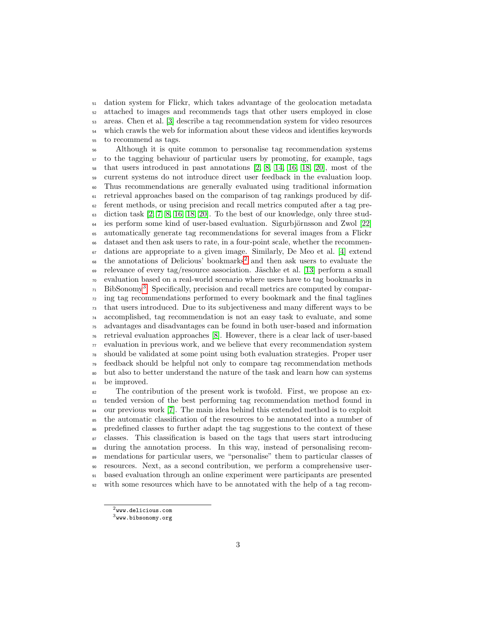dation system for Flickr, which takes advantage of the geolocation metadata attached to images and recommends tags that other users employed in close areas. Chen et al. [\[3\]](#page-22-6) describe a tag recommendation system for video resources which crawls the web for information about these videos and identifies keywords to recommend as tags.

 Although it is quite common to personalise tag recommendation systems to the tagging behaviour of particular users by promoting, for example, tags that users introduced in past annotations  $[2, 8, 14, 16, 18, 20]$  $[2, 8, 14, 16, 18, 20]$  $[2, 8, 14, 16, 18, 20]$  $[2, 8, 14, 16, 18, 20]$  $[2, 8, 14, 16, 18, 20]$  $[2, 8, 14, 16, 18, 20]$ , most of the current systems do not introduce direct user feedback in the evaluation loop. Thus recommendations are generally evaluated using traditional information retrieval approaches based on the comparison of tag rankings produced by dif- ferent methods, or using precision and recall metrics computed after a tag pre- diction task [\[2,](#page-22-7) [7,](#page-22-4) [8,](#page-22-3) [16,](#page-23-7) [18,](#page-23-8) [20\]](#page-23-9). To the best of our knowledge, only three stud- $\frac{64}{64}$  ies perform some kind of user-based evaluation. Sigurbjörnsson and Zwol [\[22\]](#page-23-5) automatically generate tag recommendations for several images from a Flickr dataset and then ask users to rate, in a four-point scale, whether the recommen- $\sigma$  dations are appropriate to a given image. Similarly, De Meo et al. [\[4\]](#page-22-2) extend the annotations of Delicious' bookmarks[2](#page-2-0) and then ask users to evaluate the <sup>69</sup> relevance of every tag/resource association. Jäschke et al. [\[13\]](#page-23-2) perform a small evaluation based on a real-world scenario where users have to tag bookmarks in  $_{71}$  BibSonomy<sup>[3](#page-2-1)</sup>. Specifically, precision and recall metrics are computed by compar- ing tag recommendations performed to every bookmark and the final taglines that users introduced. Due to its subjectiveness and many different ways to be accomplished, tag recommendation is not an easy task to evaluate, and some advantages and disadvantages can be found in both user-based and information retrieval evaluation approaches [\[8\]](#page-22-3). However, there is a clear lack of user-based  $\sigma$  evaluation in previous work, and we believe that every recommendation system should be validated at some point using both evaluation strategies. Proper user feedback should be helpful not only to compare tag recommendation methods but also to better understand the nature of the task and learn how can systems 81 be improved.

 The contribution of the present work is twofold. First, we propose an ex- tended version of the best performing tag recommendation method found in our previous work [\[7\]](#page-22-4). The main idea behind this extended method is to exploit the automatic classification of the resources to be annotated into a number of predefined classes to further adapt the tag suggestions to the context of these classes. This classification is based on the tags that users start introducing during the annotation process. In this way, instead of personalising recom- mendations for particular users, we "personalise" them to particular classes of resources. Next, as a second contribution, we perform a comprehensive user- based evaluation through an online experiment were participants are presented with some resources which have to be annotated with the help of a tag recom-

<span id="page-2-0"></span> $^{2}$ www.delicious.com

<span id="page-2-1"></span>www.bibsonomy.org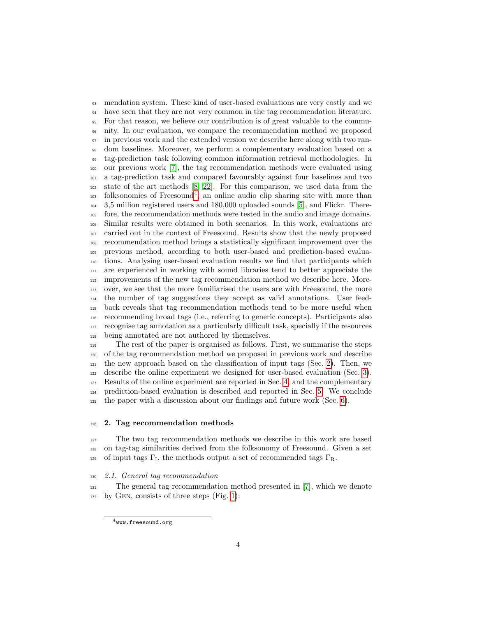mendation system. These kind of user-based evaluations are very costly and we have seen that they are not very common in the tag recommendation literature. For that reason, we believe our contribution is of great valuable to the commu- nity. In our evaluation, we compare the recommendation method we proposed in previous work and the extended version we describe here along with two ran- dom baselines. Moreover, we perform a complementary evaluation based on a tag-prediction task following common information retrieval methodologies. In our previous work [\[7\]](#page-22-4), the tag recommendation methods were evaluated using a tag-prediction task and compared favourably against four baselines and two state of the art methods [\[8,](#page-22-3) [22\]](#page-23-5). For this comparison, we used data from the folksonomies of Freesound<sup>[4](#page-3-0)</sup>, an online audio clip sharing site with more than 3,5 million registered users and 180,000 uploaded sounds [\[5\]](#page-22-8), and Flickr. There- fore, the recommendation methods were tested in the audio and image domains. Similar results were obtained in both scenarios. In this work, evaluations are carried out in the context of Freesound. Results show that the newly proposed recommendation method brings a statistically significant improvement over the previous method, according to both user-based and prediction-based evalua- tions. Analysing user-based evaluation results we find that participants which are experienced in working with sound libraries tend to better appreciate the improvements of the new tag recommendation method we describe here. More- over, we see that the more familiarised the users are with Freesound, the more the number of tag suggestions they accept as valid annotations. User feed- back reveals that tag recommendation methods tend to be more useful when recommending broad tags (i.e., referring to generic concepts). Participants also recognise tag annotation as a particularly difficult task, specially if the resources being annotated are not authored by themselves.

 The rest of the paper is organised as follows. First, we summarise the steps of the tag recommendation method we proposed in previous work and describe the new approach based on the classification of input tags (Sec. [2\)](#page-3-1). Then, we describe the online experiment we designed for user-based evaluation (Sec. [3\)](#page-6-0). Results of the online experiment are reported in Sec. [4,](#page-11-0) and the complementary prediction-based evaluation is described and reported in Sec. [5.](#page-16-0) We conclude  $_{125}$  the paper with a discussion about our findings and future work (Sec. [6\)](#page-19-0).

## <span id="page-3-1"></span>2. Tag recommendation methods

 The two tag recommendation methods we describe in this work are based on tag-tag similarities derived from the folksonomy of Freesound. Given a set 129 of input tags  $\Gamma_{\text{I}}$ , the methods output a set of recommended tags  $\Gamma_{\text{R}}$ .

## <span id="page-3-2"></span>2.1. General tag recommendation

 The general tag recommendation method presented in [\[7\]](#page-22-4), which we denote  $_{132}$  by GEN, consists of three steps (Fig. [1\)](#page-4-0):

<span id="page-3-0"></span> $^4$ www.freesound.org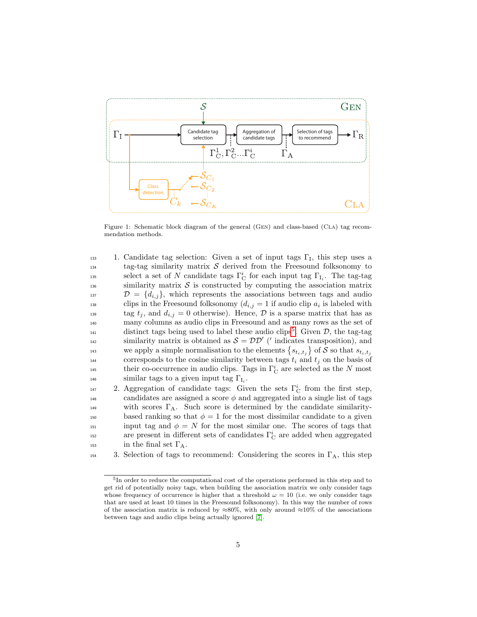

<span id="page-4-0"></span>Figure 1: Schematic block diagram of the general (Gen) and class-based (Cla) tag recommendation methods.

133 1. Candidate tag selection: Given a set of input tags  $\Gamma_I$ , this step uses a  $\text{tag-tag}$  tag-tag similarity matrix S derived from the Freesound folksonomy to select a set of N candidate tags  $\Gamma_{\rm C}^i$  for each input tag  $\Gamma_{\rm I_i}$ . The tag-tag  $\frac{136}{136}$  similarity matrix S is constructed by computing the association matrix  $D = \{d_{i,j}\}\$ , which represents the associations between tags and audio clips in the Freesound folksonomy  $(d_{i,j} = 1$  if audio clip  $a_i$  is labeled with tag  $t_j$ , and  $d_{i,j} = 0$  otherwise). Hence,  $\mathcal{D}$  is a sparse matrix that has as <sup>140</sup> many columns as audio clips in Freesound and as many rows as the set of distinct tags being used to label these audio clips<sup>[5](#page-4-1)</sup>. Given  $\mathcal{D}$ , the tag-tag similarity matrix is obtained as  $S = D D'$  ('indicates transposition), and we apply a simple normalisation to the elements  $\{s_{t_i,t_j}\}\$  of S so that  $s_{t_i,t_j}$ 143 144 corresponds to the cosine similarity between tags  $t_i$  and  $t_j$  on the basis of their co-occurrence in audio clips. Tags in  $\Gamma_{\rm C}^i$  are selected as the N most <sup>146</sup> similar tags to a given input tag  $\Gamma_{I_i}$ . <sup>147</sup> 2. Aggregation of candidate tags: Given the sets  $\Gamma_C^i$  from the first step, <sup>148</sup> candidates are assigned a score  $\phi$  and aggregated into a single list of tags 149 with scores  $\Gamma_A$ . Such score is determined by the candidate similarity- $\mu_{150}$  based ranking so that  $\phi = 1$  for the most dissimilar candidate to a given 151 input tag and  $\phi = N$  for the most similar one. The scores of tags that are present in different sets of candidates  $\Gamma_{\rm C}^i$  are added when aggregated

<sup>153</sup> in the final set  $\Gamma_A$ .

154 3. Selection of tags to recommend: Considering the scores in  $\Gamma_A$ , this step

<span id="page-4-1"></span><sup>&</sup>lt;sup>5</sup>In order to reduce the computational cost of the operations performed in this step and to get rid of potentially noisy tags, when building the association matrix we only consider tags whose frequency of occurrence is higher that a threshold  $\omega = 10$  (i.e. we only consider tags that are used at least 10 times in the Freesound folksonomy). In this way the number of rows of the association matrix is reduced by  $\approx 80\%$ , with only around  $\approx 10\%$  of the associations between tags and audio clips being actually ignored [\[7\]](#page-22-4).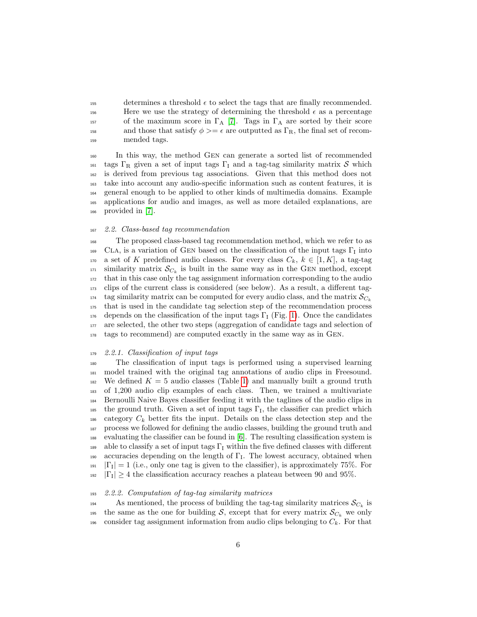155 determines a threshold  $\epsilon$  to select the tags that are finally recommended. 156 Here we use the strategy of determining the threshold  $\epsilon$  as a percentage 157 of the maximum score in  $\Gamma_A$  [\[7\]](#page-22-4). Tags in  $\Gamma_A$  are sorted by their score 158 and those that satisfy  $\phi \geq \epsilon$  are outputted as  $\Gamma_{\rm R}$ , the final set of recom-<sup>159</sup> mended tags.

 In this way, the method Gen can generate a sorted list of recommended 161 tags  $\Gamma_R$  given a set of input tags  $\Gamma_I$  and a tag-tag similarity matrix S which is derived from previous tag associations. Given that this method does not take into account any audio-specific information such as content features, it is general enough to be applied to other kinds of multimedia domains. Example applications for audio and images, as well as more detailed explanations, are provided in [\[7\]](#page-22-4).

#### <sup>167</sup> 2.2. Class-based tag recommendation

<sup>168</sup> The proposed class-based tag recommendation method, which we refer to as <sup>169</sup> CLA, is a variation of GEN based on the classification of the input tags  $\Gamma_I$  into <sup>170</sup> a set of K predefined audio classes. For every class  $C_k$ ,  $k \in [1, K]$ , a tag-tag <sup>171</sup> similarity matrix  $\mathcal{S}_{C_k}$  is built in the same way as in the GEN method, except <sup>172</sup> that in this case only the tag assignment information corresponding to the audio <sup>173</sup> clips of the current class is considered (see below). As a result, a different tagtag similarity matrix can be computed for every audio class, and the matrix  $\mathcal{S}_{C_k}$ 174 <sup>175</sup> that is used in the candidate tag selection step of the recommendation process 176 depends on the classification of the input tags  $\Gamma_I$  (Fig. [1\)](#page-4-0). Once the candidates <sup>177</sup> are selected, the other two steps (aggregation of candidate tags and selection of <sup>178</sup> tags to recommend) are computed exactly in the same way as in Gen.

## <span id="page-5-0"></span><sup>179</sup> 2.2.1. Classification of input tags

<sup>180</sup> The classification of input tags is performed using a supervised learning <sup>181</sup> model trained with the original tag annotations of audio clips in Freesound. <sup>182</sup> We defined  $K = 5$  audio classes (Table [1\)](#page-6-1) and manually built a ground truth <sup>183</sup> of 1,200 audio clip examples of each class. Then, we trained a multivariate <sup>184</sup> Bernoulli Naive Bayes classifier feeding it with the taglines of the audio clips in 185 the ground truth. Given a set of input tags  $\Gamma_I$ , the classifier can predict which <sup>186</sup> category  $C_k$  better fits the input. Details on the class detection step and the <sup>187</sup> process we followed for defining the audio classes, building the ground truth and <sup>188</sup> evaluating the classifier can be found in [\[6\]](#page-22-9). The resulting classification system is 189 able to classify a set of input tags  $\Gamma_I$  within the five defined classes with different 190 accuracies depending on the length of  $\Gamma$ <sup>I</sup>. The lowest accuracy, obtained when  $_{191}$   $|\Gamma_{\rm I}| = 1$  (i.e., only one tag is given to the classifier), is approximately 75%. For  $| \Gamma_{\text{I}} | \geq 4$  the classification accuracy reaches a plateau between 90 and 95%.

#### <span id="page-5-1"></span><sup>193</sup> 2.2.2. Computation of tag-tag similarity matrices

<sup>194</sup> As mentioned, the process of building the tag-tag similarity matrices  $\mathcal{S}_{C_k}$  is <sup>195</sup> the same as the one for building S, except that for every matrix  $\mathcal{S}_{C_k}$  we only 196 consider tag assignment information from audio clips belonging to  $C_k$ . For that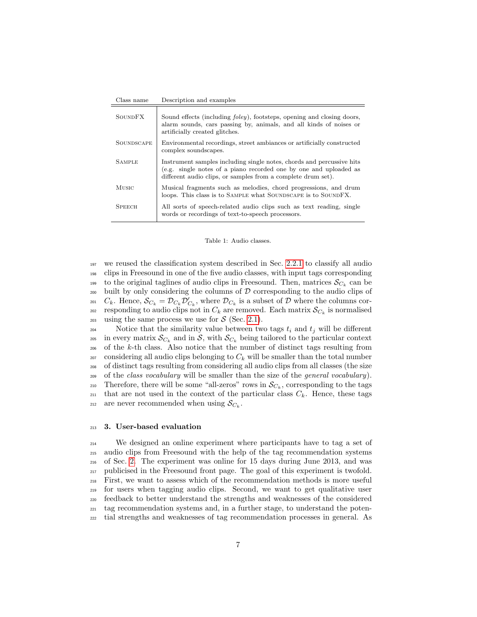| Class name        | Description and examples                                                                                                                                                                                   |
|-------------------|------------------------------------------------------------------------------------------------------------------------------------------------------------------------------------------------------------|
| <b>SOUNDFX</b>    | Sound effects (including <i>foley</i> ), footsteps, opening and closing doors,<br>alarm sounds, cars passing by, animals, and all kinds of noises or<br>artificially created glitches.                     |
| <b>SOUNDSCAPE</b> | Environmental recordings, street ambiances or artificially constructed<br>complex soundscapes.                                                                                                             |
| <b>SAMPLE</b>     | Instrument samples including single notes, chords and percussive hits<br>(e.g. single notes of a piano recorded one by one and uploaded as<br>different audio clips, or samples from a complete drum set). |
| MUSIC             | Musical fragments such as melodies, chord progressions, and drum<br>loops. This class is to SAMPLE what SOUNDSCAPE is to SOUNDFX.                                                                          |
| <b>SPEECH</b>     | All sorts of speech-related audio clips such as text reading, single<br>words or recordings of text-to-speech processors.                                                                                  |

#### <span id="page-6-1"></span>Table 1: Audio classes.

<sup>197</sup> we reused the classification system described in Sec. [2.2.1](#page-5-0) to classify all audio <sup>198</sup> clips in Freesound in one of the five audio classes, with input tags corresponding to the original taglines of audio clips in Freesound. Then, matrices  $\mathcal{S}_{C_k}$  can be  $200$  built by only considering the columns of  $\mathcal D$  corresponding to the audio clips of <sup>201</sup>  $C_k$ . Hence,  $\mathcal{S}_{C_k} = \mathcal{D}_{C_k} \mathcal{D}_{C_k}'$ , where  $\mathcal{D}_{C_k}$  is a subset of  $\mathcal D$  where the columns cor-<sup>202</sup> responding to audio clips not in  $C_k$  are removed. Each matrix  $\mathcal{S}_{C_k}$  is normalised 203 using the same process we use for  $S$  (Sec. [2.1\)](#page-3-2).

204 Notice that the similarity value between two tags  $t_i$  and  $t_j$  will be different <sup>205</sup> in every matrix  $\mathcal{S}_{C_k}$  and in S, with  $\mathcal{S}_{C_k}$  being tailored to the particular context <sup>206</sup> of the k-th class. Also notice that the number of distinct tags resulting from  $207$  considering all audio clips belonging to  $C_k$  will be smaller than the total number <sup>208</sup> of distinct tags resulting from considering all audio clips from all classes (the size <sup>209</sup> of the *class vocabulary* will be smaller than the size of the *general vocabulary*). <sup>210</sup> Therefore, there will be some "all-zeros" rows in  $\mathcal{S}_{C_k}$ , corresponding to the tags  $_{211}$  that are not used in the context of the particular class  $C_k$ . Hence, these tags 212 are never recommended when using  $\mathcal{S}_{C_k}$ .

## <span id="page-6-0"></span><sup>213</sup> 3. User-based evaluation

 We designed an online experiment where participants have to tag a set of audio clips from Freesound with the help of the tag recommendation systems of Sec. [2.](#page-3-1) The experiment was online for 15 days during June 2013, and was publicised in the Freesound front page. The goal of this experiment is twofold. First, we want to assess which of the recommendation methods is more useful for users when tagging audio clips. Second, we want to get qualitative user feedback to better understand the strengths and weaknesses of the considered tag recommendation systems and, in a further stage, to understand the poten-tial strengths and weaknesses of tag recommendation processes in general. As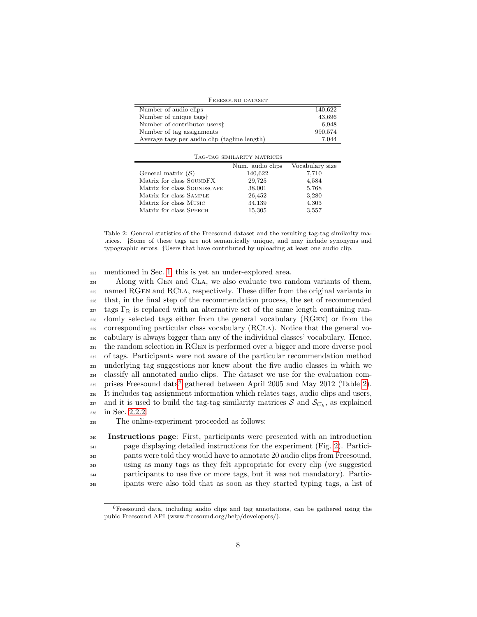| FREESOUND DATASET                            |                 |         |  |  |  |  |
|----------------------------------------------|-----------------|---------|--|--|--|--|
| Number of audio clips                        | 140,622         |         |  |  |  |  |
| Number of unique tags <sup>†</sup>           |                 | 43,696  |  |  |  |  |
| Number of contributor userst                 |                 | 6,948   |  |  |  |  |
| Number of tag assignments                    |                 | 990,574 |  |  |  |  |
| Average tags per audio clip (tagline length) |                 | 7.044   |  |  |  |  |
| TAG-TAG SIMILARITY MATRICES                  |                 |         |  |  |  |  |
|                                              | Vocabulary size |         |  |  |  |  |
| General matrix $(S)$                         | 140,622         | 7,710   |  |  |  |  |
| Matrix for class SOUNDFX                     | 29,725          | 4,584   |  |  |  |  |
| Matrix for class SOUNDSCAPE                  | 5,768           |         |  |  |  |  |
| Matrix for class SAMPLE                      | 3,280           |         |  |  |  |  |
| Matrix for class Music                       | 4,303           |         |  |  |  |  |
| Matrix for class SPEECH                      | 3,557           |         |  |  |  |  |

<span id="page-7-1"></span>Table 2: General statistics of the Freesound dataset and the resulting tag-tag similarity matrices. †Some of these tags are not semantically unique, and may include synonyms and typographic errors. ‡Users that have contributed by uploading at least one audio clip.

<sup>223</sup> mentioned in Sec. [1,](#page-0-0) this is yet an under-explored area.

<sup>224</sup> Along with GEN and CLA, we also evaluate two random variants of them, named RGen and RCla, respectively. These differ from the original variants in that, in the final step of the recommendation process, the set of recommended  $_{227}$  tags  $\Gamma_{\rm R}$  is replaced with an alternative set of the same length containing ran- domly selected tags either from the general vocabulary (RGen) or from the corresponding particular class vocabulary (RCla). Notice that the general vo- cabulary is always bigger than any of the individual classes' vocabulary. Hence, the random selection in RGen is performed over a bigger and more diverse pool of tags. Participants were not aware of the particular recommendation method underlying tag suggestions nor knew about the five audio classes in which we classify all annotated audio clips. The dataset we use for the evaluation com- $_{235}$  prises Freesound data<sup>[6](#page-7-0)</sup> gathered between April 2005 and May 2012 (Table [2\)](#page-7-1). It includes tag assignment information which relates tags, audio clips and users, <sup>237</sup> and it is used to build the tag-tag similarity matrices  $S$  and  $S_{C_k}$ , as explained in Sec. [2.2.2.](#page-5-1)

<sup>239</sup> The online-experiment proceeded as follows:

 Instructions page: First, participants were presented with an introduction page displaying detailed instructions for the experiment (Fig. [2\)](#page-8-0). Partici- pants were told they would have to annotate 20 audio clips from Freesound, using as many tags as they felt appropriate for every clip (we suggested participants to use five or more tags, but it was not mandatory). Partic-ipants were also told that as soon as they started typing tags, a list of

<span id="page-7-0"></span><sup>6</sup>Freesound data, including audio clips and tag annotations, can be gathered using the pubic Freesound API (www.freesound.org/help/developers/).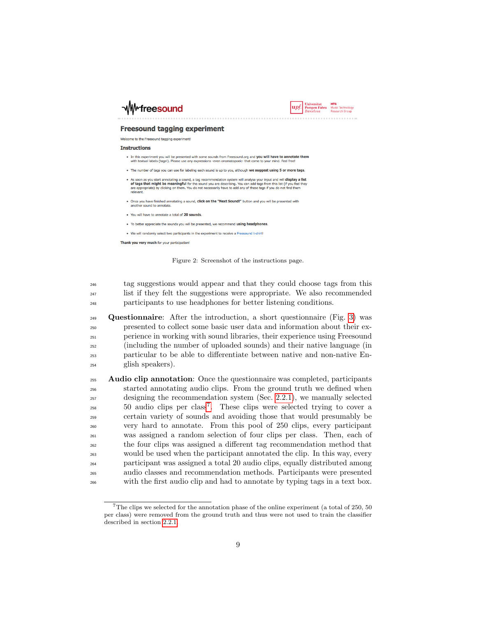# MMfreesound



#### **Freesound tagging experiment**

Welcome to the Freesound tagging experiment

**Instructions** 

- In this experiment you will be presented with some sounds from Freesound.org and you will have to annot with textual labels (tags!). Please use any expressions -even onomatopoeic- that come to your mind. Feel fre Il be presented with some sounds from Freesound.org and you will have to annotate th
- . The number of tags you can use for labeling each sound is up to you, although we suggest using 5 or more tags
- As soon as you start annotating a sound, a tag recommendation system will analyse your input and will **display a list**<br>of tags that might be meaningful for the sound you are describing. You can add tags from this list (if
- . Once you have finished annotating a sound, click on the "Next Sound!" button and you will be presented with
- . You will have to annotate a total of 20 sounds.
- . To better appreciate the sounds you will be presented, we recommend using head
- . We will randomly select two participants in the experiment to receive a Freesound t-shirt!

Thank you very much for your participation

<span id="page-8-0"></span>Figure 2: Screenshot of the instructions page.

<sup>246</sup> tag suggestions would appear and that they could choose tags from this <sup>247</sup> list if they felt the suggestions were appropriate. We also recommended <sup>248</sup> participants to use headphones for better listening conditions.

 Questionnaire: After the introduction, a short questionnaire (Fig. [3\)](#page-9-0) was presented to collect some basic user data and information about their ex- perience in working with sound libraries, their experience using Freesound (including the number of uploaded sounds) and their native language (in particular to be able to differentiate between native and non-native En-glish speakers).

**Audio clip annotation:** Once the questionnaire was completed, participants started annotating audio clips. From the ground truth we defined when designing the recommendation system (Sec. [2.2.1\)](#page-5-0), we manually selected 50 audio clips per class[7](#page-8-1) <sup>258</sup> . These clips were selected trying to cover a certain variety of sounds and avoiding those that would presumably be very hard to annotate. From this pool of 250 clips, every participant was assigned a random selection of four clips per class. Then, each of the four clips was assigned a different tag recommendation method that would be used when the participant annotated the clip. In this way, every participant was assigned a total 20 audio clips, equally distributed among audio classes and recommendation methods. Participants were presented with the first audio clip and had to annotate by typing tags in a text box.

<span id="page-8-1"></span> $7$ The clips we selected for the annotation phase of the online experiment (a total of 250, 50) per class) were removed from the ground truth and thus were not used to train the classifier described in section [2.2.1.](#page-5-0)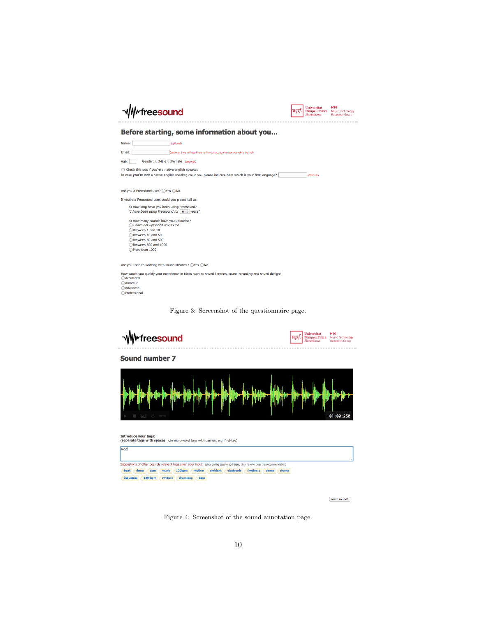

Before starting, some information about you...

| Name:<br>(optional)                                                                                                          |
|------------------------------------------------------------------------------------------------------------------------------|
| Email:<br>(optional I we will use the email to contact you in case you win a t-shirt!)                                       |
| Gender: Male (Female (optional)<br>Age:                                                                                      |
| Check this box if you're a native english speaker.                                                                           |
| In case you're not a native english speaker, could you please indicate here which is your first language?<br>(optional)      |
|                                                                                                                              |
| Are you a Freesound user? OYes ONo                                                                                           |
| If you're a Freesound user, could you please tell us:                                                                        |
| a) How long have you been using Freesound?<br>"I have been using Freesound for $\begin{bmatrix} 0 \\ 1 \end{bmatrix}$ years" |
| b) How many sounds have you uploaded?                                                                                        |
| $\bigcirc$ I have not uploaded any sound                                                                                     |
| Between 1 and 10                                                                                                             |
| Between 10 and 50                                                                                                            |
| Between 50 and 500                                                                                                           |
| Between 500 and 1000                                                                                                         |
| More than 1000                                                                                                               |
| Are you used to working with sound libraries? OYes ONo                                                                       |
| How would you qualify your experience in fields such as sound libraries, sound recording and sound design?<br>Accidental     |
| Amateur                                                                                                                      |
| Advanced                                                                                                                     |
| Professional                                                                                                                 |

<span id="page-9-0"></span>Figure 3: Screenshot of the questionnaire page.



| ggestions of other possibly relevant tags given your input: (dick on the tags to add them, click here to clear the recommendation) |              |         |                   |        |         |            |          |       |       |
|------------------------------------------------------------------------------------------------------------------------------------|--------------|---------|-------------------|--------|---------|------------|----------|-------|-------|
| beat<br>drum                                                                                                                       | bpm          | music   | $\approx 120$ bpm | rhythm | ambient | electronic | rhythmic | dance | drums |
| <b>industrial</b>                                                                                                                  | $120 - b$ pm | rhytmic | drumloop          | bass   |         |            |          |       |       |

 $\overline{s}$ 

Next sound!

**MTG**<br>Music Technology<br>Research Group

<span id="page-9-1"></span>Figure 4: Screenshot of the sound annotation page.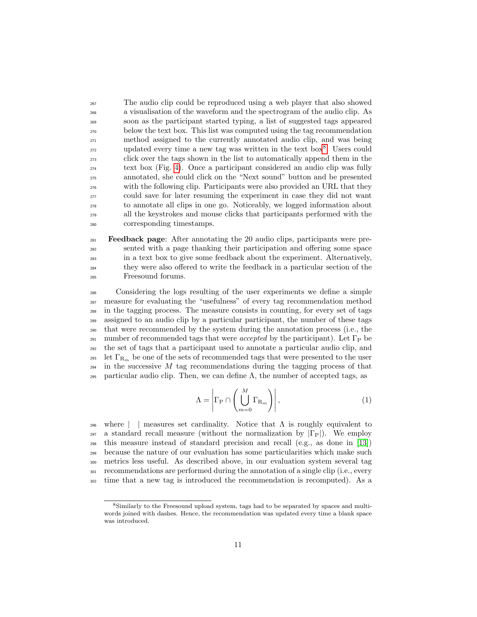The audio clip could be reproduced using a web player that also showed a visualisation of the waveform and the spectrogram of the audio clip. As soon as the participant started typing, a list of suggested tags appeared below the text box. This list was computed using the tag recommendation method assigned to the currently annotated audio clip, and was being  $_{272}$  updated every time a new tag was written in the text box<sup>[8](#page-10-0)</sup>. Users could click over the tags shown in the list to automatically append them in the text box (Fig. [4\)](#page-9-1). Once a participant considered an audio clip was fully annotated, she could click on the "Next sound" button and be presented with the following clip. Participants were also provided an URL that they could save for later resuming the experiment in case they did not want to annotate all clips in one go. Noticeably, we logged information about <sup>279</sup> all the keystrokes and mouse clicks that participants performed with the corresponding timestamps.

 Feedback page: After annotating the 20 audio clips, participants were pre- sented with a page thanking their participation and offering some space in a text box to give some feedback about the experiment. Alternatively, they were also offered to write the feedback in a particular section of the Freesound forums.

<sup>286</sup> Considering the logs resulting of the user experiments we define a simple <sup>287</sup> measure for evaluating the "usefulness" of every tag recommendation method <sup>288</sup> in the tagging process. The measure consists in counting, for every set of tags <sup>289</sup> assigned to an audio clip by a particular participant, the number of these tags <sup>290</sup> that were recommended by the system during the annotation process (i.e., the <sup>291</sup> number of recommended tags that were *accepted* by the participant). Let  $\Gamma_P$  be <sup>292</sup> the set of tags that a participant used to annotate a particular audio clip, and 293 let  $\Gamma_{\rm R_m}$  be one of the sets of recommended tags that were presented to the user  $_{294}$  in the successive M tag recommendations during the tagging process of that <sup>295</sup> particular audio clip. Then, we can define  $Λ$ , the number of accepted tags, as

$$
\Lambda = \left| \Gamma_{\mathcal{P}} \cap \left( \bigcup_{m=0}^{M} \Gamma_{\mathcal{R}_{m}} \right) \right|, \tag{1}
$$

296 where  $\vert$  | measures set cardinality. Notice that  $\Lambda$  is roughly equivalent to 297 a standard recall measure (without the normalization by  $|\Gamma_{\rm P}|$ ). We employ this measure instead of standard precision and recall (e.g., as done in [\[13\]](#page-23-2)) because the nature of our evaluation has some particularities which make such metrics less useful. As described above, in our evaluation system several tag recommendations are performed during the annotation of a single clip (i.e., every time that a new tag is introduced the recommendation is recomputed). As a

<span id="page-10-0"></span><sup>&</sup>lt;sup>8</sup>Similarly to the Freesound upload system, tags had to be separated by spaces and multiwords joined with dashes. Hence, the recommendation was updated every time a blank space was introduced.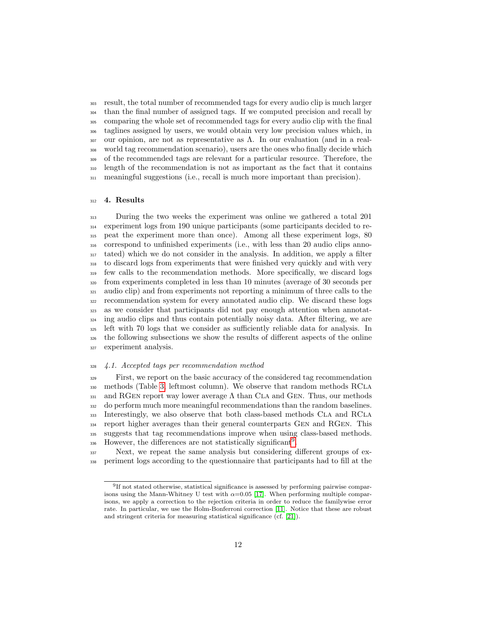result, the total number of recommended tags for every audio clip is much larger than the final number of assigned tags. If we computed precision and recall by comparing the whole set of recommended tags for every audio clip with the final taglines assigned by users, we would obtain very low precision values which, in our opinion, are not as representative as  $\Lambda$ . In our evaluation (and in a real- world tag recommendation scenario), users are the ones who finally decide which of the recommended tags are relevant for a particular resource. Therefore, the length of the recommendation is not as important as the fact that it contains meaningful suggestions (i.e., recall is much more important than precision).

## <span id="page-11-0"></span>312 4. Results

 During the two weeks the experiment was online we gathered a total 201 experiment logs from 190 unique participants (some participants decided to re- peat the experiment more than once). Among all these experiment logs, 80 correspond to unfinished experiments (i.e., with less than 20 audio clips anno- tated) which we do not consider in the analysis. In addition, we apply a filter to discard logs from experiments that were finished very quickly and with very few calls to the recommendation methods. More specifically, we discard logs from experiments completed in less than 10 minutes (average of 30 seconds per audio clip) and from experiments not reporting a minimum of three calls to the recommendation system for every annotated audio clip. We discard these logs as we consider that participants did not pay enough attention when annotat- ing audio clips and thus contain potentially noisy data. After filtering, we are left with 70 logs that we consider as sufficiently reliable data for analysis. In the following subsections we show the results of different aspects of the online experiment analysis.

#### <span id="page-11-2"></span>4.1. Accepted tags per recommendation method

 First, we report on the basic accuracy of the considered tag recommendation methods (Table [3,](#page-12-0) leftmost column). We observe that random methods RCla 331 and RGEN report way lower average  $\Lambda$  than CLA and GEN. Thus, our methods do perform much more meaningful recommendations than the random baselines. Interestingly, we also observe that both class-based methods Cla and RCla report higher averages than their general counterparts Gen and RGen. This suggests that tag recommendations improve when using class-based methods.  $_{336}$  However, the differences are not statistically significant<sup>[9](#page-11-1)</sup>.

 Next, we repeat the same analysis but considering different groups of ex-periment logs according to the questionnaire that participants had to fill at the

<span id="page-11-1"></span><sup>&</sup>lt;sup>9</sup>If not stated otherwise, statistical significance is assessed by performing pairwise comparisons using the Mann-Whitney U test with  $\alpha$ =0.05 [\[17\]](#page-23-10). When performing multiple comparisons, we apply a correction to the rejection criteria in order to reduce the familywise error rate. In particular, we use the Holm-Bonferroni correction [\[11\]](#page-22-10). Notice that these are robust and stringent criteria for measuring statistical significance (cf. [\[21\]](#page-23-11)).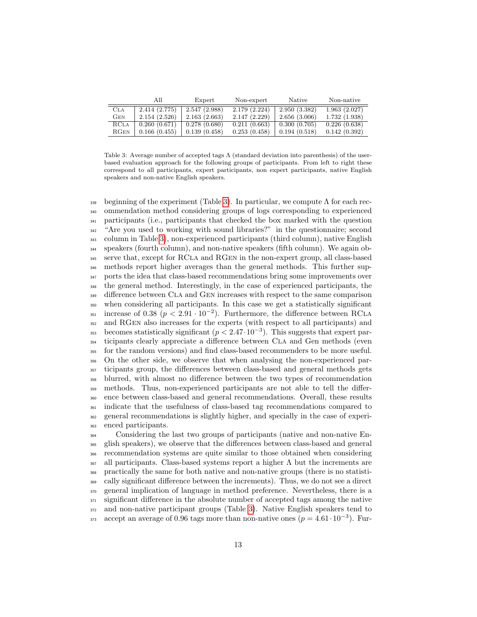|             | All          | Expert       | Non-expert   | Native       | Non-native   |
|-------------|--------------|--------------|--------------|--------------|--------------|
| <b>CLA</b>  | 2.414(2.775) | 2.547(2.988) | 2.179(2.224) | 2.950(3.382) | 1.963(2.027) |
| <b>GEN</b>  | 2.154(2.526) | 2.163(2.663) | 2.147(2.229) | 2.656(3.006) | 1.732(1.938) |
| <b>RCLA</b> | 0.260(0.671) | 0.278(0.680) | 0.211(0.663) | 0.300(0.705) | 0.226(0.638) |
| <b>RGEN</b> | 0.166(0.455) | 0.139(0.458) | 0.253(0.458) | 0.194(0.518) | 0.142(0.392) |

<span id="page-12-0"></span>Table 3: Average number of accepted tags  $\Lambda$  (standard deviation into parenthesis) of the userbased evaluation approach for the following groups of participants. From left to right these correspond to all participants, expert participants, non expert participants, native English speakers and non-native English speakers.

 beginning of the experiment (Table [3\)](#page-12-0). In particular, we compute  $\Lambda$  for each rec- ommendation method considering groups of logs corresponding to experienced participants (i.e., participants that checked the box marked with the question <sup>342</sup> "Are you used to working with sound libraries?" in the questionnaire; second column in Table [3\)](#page-12-0), non-experienced participants (third column), native English speakers (fourth column), and non-native speakers (fifth column). We again ob- serve that, except for RCla and RGen in the non-expert group, all class-based methods report higher averages than the general methods. This further sup- ports the idea that class-based recommendations bring some improvements over the general method. Interestingly, in the case of experienced participants, the 349 difference between CLA and GEN increases with respect to the same comparison when considering all participants. In this case we get a statistically significant 351 increase of 0.38 ( $p < 2.91 \cdot 10^{-2}$ ). Furthermore, the difference between RCLA and RGen also increases for the experts (with respect to all participants) and <sup>353</sup> becomes statistically significant  $(p < 2.47 \cdot 10^{-3})$ . This suggests that expert par- ticipants clearly appreciate a difference between Cla and Gen methods (even for the random versions) and find class-based recommenders to be more useful. On the other side, we observe that when analysing the non-experienced par- ticipants group, the differences between class-based and general methods gets blurred, with almost no difference between the two types of recommendation methods. Thus, non-experienced participants are not able to tell the differ- ence between class-based and general recommendations. Overall, these results indicate that the usefulness of class-based tag recommendations compared to general recommendations is slightly higher, and specially in the case of experi-enced participants.

 Considering the last two groups of participants (native and non-native En- glish speakers), we observe that the differences between class-based and general recommendation systems are quite similar to those obtained when considering all participants. Class-based systems report a higher  $\Lambda$  but the increments are practically the same for both native and non-native groups (there is no statisti- cally significant difference between the increments). Thus, we do not see a direct general implication of language in method preference. Nevertheless, there is a significant difference in the absolute number of accepted tags among the native and non-native participant groups (Table [3\)](#page-12-0). Native English speakers tend to 373 accept an average of 0.96 tags more than non-native ones  $(p = 4.61 \cdot 10^{-3})$ . Fur-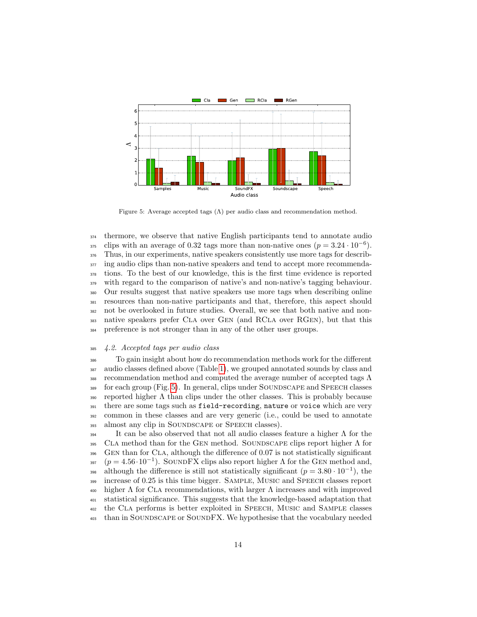

<span id="page-13-0"></span>Figure 5: Average accepted tags  $(\Lambda)$  per audio class and recommendation method.

 thermore, we observe that native English participants tend to annotate audio <sup>375</sup> clips with an average of 0.32 tags more than non-native ones  $(p = 3.24 \cdot 10^{-6})$ . Thus, in our experiments, native speakers consistently use more tags for describ- ing audio clips than non-native speakers and tend to accept more recommenda- tions. To the best of our knowledge, this is the first time evidence is reported with regard to the comparison of native's and non-native's tagging behaviour. Our results suggest that native speakers use more tags when describing online resources than non-native participants and that, therefore, this aspect should not be overlooked in future studies. Overall, we see that both native and non- native speakers prefer Cla over Gen (and RCla over RGen), but that this preference is not stronger than in any of the other user groups.

## 4.2. Accepted tags per audio class

 To gain insight about how do recommendation methods work for the different audio classes defined above (Table [1\)](#page-6-1), we grouped annotated sounds by class and recommendation method and computed the average number of accepted tags  $\Lambda$  for each group (Fig. [5\)](#page-13-0). In general, clips under Soundscape and Speech classes reported higher  $\Lambda$  than clips under the other classes. This is probably because 391 there are some tags such as field-recording, nature or voice which are very common in these classes and are very generic (i.e., could be used to annotate 393 almost any clip in SOUNDSCAPE or SPEECH classes).

 $\frac{394}{100}$  It can be also observed that not all audio classes feature a higher  $\Lambda$  for the 395 CLA method than for the GEN method. SOUNDSCAPE clips report higher  $\Lambda$  for Gen than for Cla, although the difference of 0.07 is not statistically significant  $_{397}$  ( $p = 4.56 \cdot 10^{-1}$ ). SOUNDFX clips also report higher  $\Lambda$  for the GEN method and, 398 although the difference is still not statistically significant  $(p = 3.80 \cdot 10^{-1})$ , the increase of 0.25 is this time bigger. Sample, Music and Speech classes report  $\mu_{400}$  higher  $\Lambda$  for CLA recommendations, with larger  $\Lambda$  increases and with improved statistical significance. This suggests that the knowledge-based adaptation that the Cla performs is better exploited in Speech, Music and Sample classes than in Soundscape or SoundFX. We hypothesise that the vocabulary needed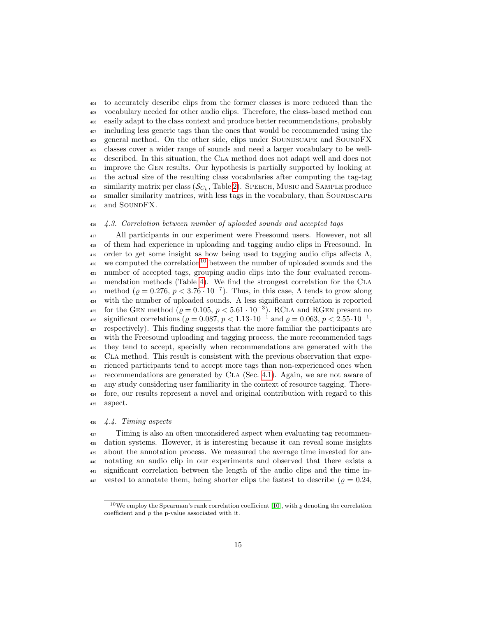to accurately describe clips from the former classes is more reduced than the vocabulary needed for other audio clips. Therefore, the class-based method can easily adapt to the class context and produce better recommendations, probably including less generic tags than the ones that would be recommended using the general method. On the other side, clips under Soundscape and SoundFX classes cover a wider range of sounds and need a larger vocabulary to be well- described. In this situation, the Cla method does not adapt well and does not <sup>411</sup> improve the GEN results. Our hypothesis is partially supported by looking at the actual size of the resulting class vocabularies after computing the tag-tag <sup>413</sup> similarity matrix per class  $(\mathcal{S}_{C_k}, \text{Table 2})$ . Speech, Music and SAMPLE produce <sup>414</sup> smaller similarity matrices, with less tags in the vocabulary, than SOUNDSCAPE 415 and SOUNDFX.

## 4.3. Correlation between number of uploaded sounds and accepted tags

 All participants in our experiment were Freesound users. However, not all of them had experience in uploading and tagging audio clips in Freesound. In 419 order to get some insight as how being used to tagging audio clips affects  $\Lambda$ ,  $\frac{420}{420}$  we computed the correlation<sup>[10](#page-14-0)</sup> between the number of uploaded sounds and the number of accepted tags, grouping audio clips into the four evaluated recom- mendation methods (Table [4\)](#page-15-0). We find the strongest correlation for the Cla <sup>423</sup> method ( $\varrho = 0.276, p < 3.76 \cdot 10^{-7}$ ). Thus, in this case, Λ tends to grow along with the number of uploaded sounds. A less significant correlation is reported 425 for the GEN method ( $\varrho = 0.105, p < 5.61 \cdot 10^{-3}$ ). RCLA and RGEN present no  $\alpha_{26}$  significant correlations ( $\rho = 0.087, p < 1.13 \cdot 10^{-1}$  and  $\rho = 0.063, p < 2.55 \cdot 10^{-1}$ , respectively). This finding suggests that the more familiar the participants are with the Freesound uploading and tagging process, the more recommended tags they tend to accept, specially when recommendations are generated with the Cla method. This result is consistent with the previous observation that expe- rienced participants tend to accept more tags than non-experienced ones when recommendations are generated by Cla (Sec. [4.1\)](#page-11-2). Again, we are not aware of any study considering user familiarity in the context of resource tagging. There- fore, our results represent a novel and original contribution with regard to this aspect.

## 4.4. Timing aspects

 Timing is also an often unconsidered aspect when evaluating tag recommen- dation systems. However, it is interesting because it can reveal some insights about the annotation process. We measured the average time invested for an- notating an audio clip in our experiments and observed that there exists a significant correlation between the length of the audio clips and the time in-442 vested to annotate them, being shorter clips the fastest to describe ( $\rho = 0.24$ ,

<span id="page-14-0"></span><sup>&</sup>lt;sup>10</sup>We employ the Spearman's rank correlation coefficient [\[10\]](#page-22-11), with  $\rho$  denoting the correlation coefficient and  $p$  the p-value associated with it.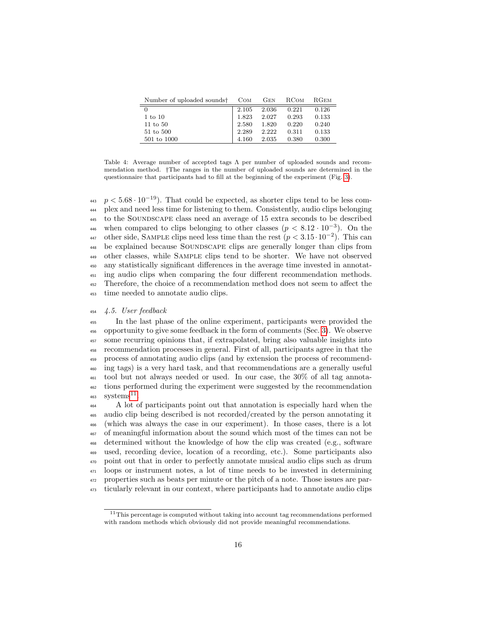| Number of uploaded sounds <sup>†</sup> | Сом   | GEN   | RCOM  | RGEM  |
|----------------------------------------|-------|-------|-------|-------|
|                                        | 2.105 | 2.036 | 0.221 | 0.126 |
| 1 to 10                                | 1.823 | 2.027 | 0.293 | 0.133 |
| $11$ to $50$                           | 2.580 | 1.820 | 0.220 | 0.240 |
| 51 to 500                              | 2.289 | 2.222 | 0.311 | 0.133 |
| 501 to 1000                            | 4.160 | 2.035 | 0.380 | 0.300 |

<span id="page-15-0"></span>Table 4: Average number of accepted tags Λ per number of uploaded sounds and recommendation method. †The ranges in the number of uploaded sounds are determined in the questionnaire that participants had to fill at the beginning of the experiment (Fig. [3\)](#page-9-0).

 $p < 5.68 \cdot 10^{-19}$ ). That could be expected, as shorter clips tend to be less com- plex and need less time for listening to them. Consistently, audio clips belonging to the Soundscape class need an average of 15 extra seconds to be described <sup>446</sup> when compared to clips belonging to other classes  $(p < 8.12 \cdot 10^{-3})$ . On the 447 other side, SAMPLE clips need less time than the rest  $(p < 3.15 \cdot 10^{-2})$ . This can be explained because Soundscape clips are generally longer than clips from other classes, while Sample clips tend to be shorter. We have not observed any statistically significant differences in the average time invested in annotat- ing audio clips when comparing the four different recommendation methods. Therefore, the choice of a recommendation method does not seem to affect the time needed to annotate audio clips.

## 4.5. User feedback

 In the last phase of the online experiment, participants were provided the opportunity to give some feedback in the form of comments (Sec. [3\)](#page-6-0). We observe some recurring opinions that, if extrapolated, bring also valuable insights into recommendation processes in general. First of all, participants agree in that the process of annotating audio clips (and by extension the process of recommend- ing tags) is a very hard task, and that recommendations are a generally useful tool but not always needed or used. In our case, the 30% of all tag annota- tions performed during the experiment were suggested by the recommendation systems<sup>[11](#page-15-1)</sup>.

 A lot of participants point out that annotation is especially hard when the audio clip being described is not recorded/created by the person annotating it (which was always the case in our experiment). In those cases, there is a lot of meaningful information about the sound which most of the times can not be determined without the knowledge of how the clip was created (e.g., software used, recording device, location of a recording, etc.). Some participants also point out that in order to perfectly annotate musical audio clips such as drum loops or instrument notes, a lot of time needs to be invested in determining properties such as beats per minute or the pitch of a note. Those issues are par-ticularly relevant in our context, where participants had to annotate audio clips

<span id="page-15-1"></span>This percentage is computed without taking into account tag recommendations performed with random methods which obviously did not provide meaningful recommendations.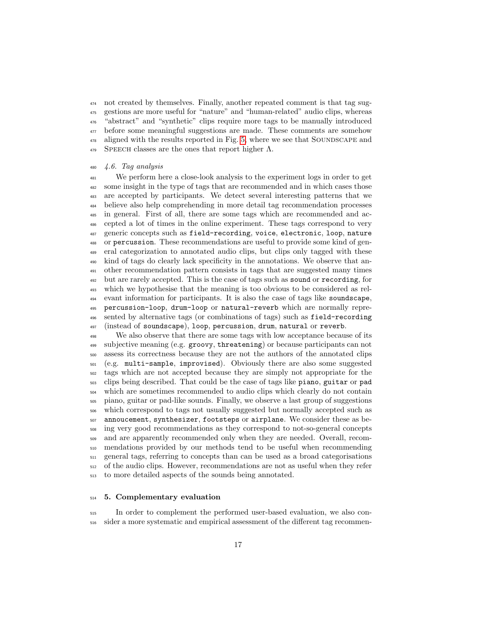not created by themselves. Finally, another repeated comment is that tag sug- gestions are more useful for "nature" and "human-related" audio clips, whereas "abstract" and "synthetic" clips require more tags to be manually introduced before some meaningful suggestions are made. These comments are somehow aligned with the results reported in Fig. [5,](#page-13-0) where we see that Soundscape and SPEECH classes are the ones that report higher  $\Lambda$ .

#### $4.6.$  Tag analysis

 We perform here a close-look analysis to the experiment logs in order to get some insight in the type of tags that are recommended and in which cases those are accepted by participants. We detect several interesting patterns that we believe also help comprehending in more detail tag recommendation processes in general. First of all, there are some tags which are recommended and ac- cepted a lot of times in the online experiment. These tags correspond to very generic concepts such as field-recording, voice, electronic, loop, nature or percussion. These recommendations are useful to provide some kind of gen- eral categorization to annotated audio clips, but clips only tagged with these kind of tags do clearly lack specificity in the annotations. We observe that an- other recommendation pattern consists in tags that are suggested many times but are rarely accepted. This is the case of tags such as sound or recording, for which we hypothesise that the meaning is too obvious to be considered as rel- evant information for participants. It is also the case of tags like soundscape, percussion-loop, drum-loop or natural-reverb which are normally repre- sented by alternative tags (or combinations of tags) such as field-recording (instead of soundscape), loop, percussion, drum, natural or reverb.

 We also observe that there are some tags with low acceptance because of its subjective meaning (e.g. groovy, threatening) or because participants can not assess its correctness because they are not the authors of the annotated clips (e.g. multi-sample, improvised). Obviously there are also some suggested tags which are not accepted because they are simply not appropriate for the clips being described. That could be the case of tags like piano, guitar or pad which are sometimes recommended to audio clips which clearly do not contain piano, guitar or pad-like sounds. Finally, we observe a last group of suggestions which correspond to tags not usually suggested but normally accepted such as annoucement, synthesizer, footsteps or airplane. We consider these as be- ing very good recommendations as they correspond to not-so-general concepts and are apparently recommended only when they are needed. Overall, recom- mendations provided by our methods tend to be useful when recommending general tags, referring to concepts than can be used as a broad categorisations of the audio clips. However, recommendations are not as useful when they refer to more detailed aspects of the sounds being annotated.

## <span id="page-16-0"></span>5. Complementary evaluation

 In order to complement the performed user-based evaluation, we also con-sider a more systematic and empirical assessment of the different tag recommen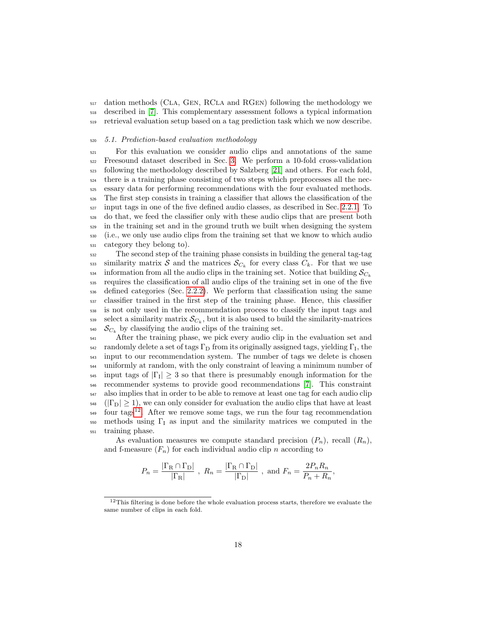<sup>517</sup> dation methods (Cla, Gen, RCla and RGen) following the methodology we <sup>518</sup> described in [\[7\]](#page-22-4). This complementary assessment follows a typical information <sup>519</sup> retrieval evaluation setup based on a tag prediction task which we now describe.

#### <sup>520</sup> 5.1. Prediction-based evaluation methodology

 For this evaluation we consider audio clips and annotations of the same Freesound dataset described in Sec. [3.](#page-6-0) We perform a 10-fold cross-validation following the methodology described by Salzberg [\[21\]](#page-23-11) and others. For each fold, there is a training phase consisting of two steps which preprocesses all the nec- essary data for performing recommendations with the four evaluated methods. The first step consists in training a classifier that allows the classification of the input tags in one of the five defined audio classes, as described in Sec. [2.2.1.](#page-5-0) To do that, we feed the classifier only with these audio clips that are present both in the training set and in the ground truth we built when designing the system (i.e., we only use audio clips from the training set that we know to which audio category they belong to).

<sup>532</sup> The second step of the training phase consists in building the general tag-tag <sup>533</sup> similarity matrix S and the matrices  $\mathcal{S}_{C_k}$  for every class  $C_k$ . For that we use information from all the audio clips in the training set. Notice that building  $\mathcal{S}_{C_k}$ 534 <sup>535</sup> requires the classification of all audio clips of the training set in one of the five <sup>536</sup> defined categories (Sec. [2.2.2\)](#page-5-1). We perform that classification using the same <sup>537</sup> classifier trained in the first step of the training phase. Hence, this classifier <sup>538</sup> is not only used in the recommendation process to classify the input tags and  $s_{39}$  select a similarity matrix  $\mathcal{S}_{C_k}$ , but it is also used to build the similarity-matrices  $S_{C_k}$  by classifying the audio clips of the training set.

 After the training phase, we pick every audio clip in the evaluation set and <sup>542</sup> randomly delete a set of tags  $\Gamma_D$  from its originally assigned tags, yielding  $\Gamma_I$ , the input to our recommendation system. The number of tags we delete is chosen uniformly at random, with the only constraint of leaving a minimum number of <sup>545</sup> input tags of  $|\Gamma_{\text{I}}| \geq 3$  so that there is presumably enough information for the recommender systems to provide good recommendations [\[7\]](#page-22-4). This constraint also implies that in order to be able to remove at least one tag for each audio clip ( $|\Gamma_{\text{D}}| \ge 1$ ), we can only consider for evaluation the audio clips that have at least  $_{549}$  four tags<sup>[12](#page-17-0)</sup>. After we remove some tags, we run the four tag recommendation  $_{550}$  methods using  $\Gamma_{\rm I}$  as input and the similarity matrices we computed in the training phase.

As evaluation measures we compute standard precision  $(P_n)$ , recall  $(R_n)$ , and f-measure  $(F_n)$  for each individual audio clip n according to

$$
P_n = \frac{|\Gamma_R \cap \Gamma_D|}{|\Gamma_R|} , R_n = \frac{|\Gamma_R \cap \Gamma_D|}{|\Gamma_D|} , \text{ and } F_n = \frac{2P_n R_n}{P_n + R_n},
$$

<span id="page-17-0"></span><sup>&</sup>lt;sup>12</sup>This filtering is done before the whole evaluation process starts, therefore we evaluate the same number of clips in each fold.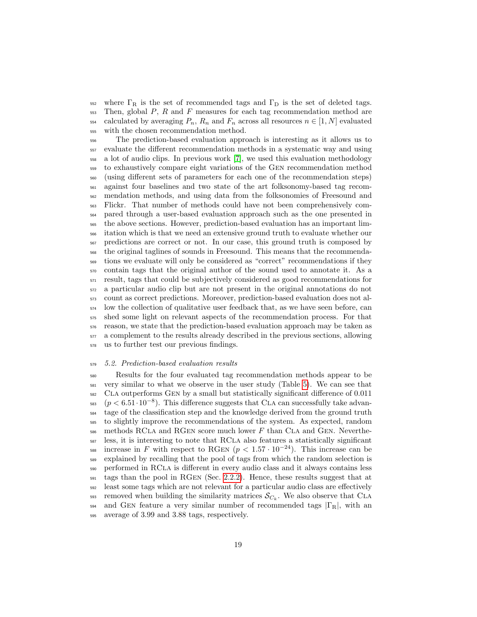552 where  $\Gamma_R$  is the set of recommended tags and  $\Gamma_D$  is the set of deleted tags. Then, global P, R and F measures for each tag recommendation method are 554 calculated by averaging  $P_n$ ,  $R_n$  and  $F_n$  across all resources  $n \in [1, N]$  evaluated with the chosen recommendation method.

 The prediction-based evaluation approach is interesting as it allows us to evaluate the different recommendation methods in a systematic way and using a lot of audio clips. In previous work [\[7\]](#page-22-4), we used this evaluation methodology to exhaustively compare eight variations of the Gen recommendation method (using different sets of parameters for each one of the recommendation steps) against four baselines and two state of the art folksonomy-based tag recom- mendation methods, and using data from the folksonomies of Freesound and Flickr. That number of methods could have not been comprehensively com- pared through a user-based evaluation approach such as the one presented in the above sections. However, prediction-based evaluation has an important lim- itation which is that we need an extensive ground truth to evaluate whether our predictions are correct or not. In our case, this ground truth is composed by the original taglines of sounds in Freesound. This means that the recommenda- tions we evaluate will only be considered as "correct" recommendations if they contain tags that the original author of the sound used to annotate it. As a result, tags that could be subjectively considered as good recommendations for a particular audio clip but are not present in the original annotations do not count as correct predictions. Moreover, prediction-based evaluation does not al- low the collection of qualitative user feedback that, as we have seen before, can shed some light on relevant aspects of the recommendation process. For that reason, we state that the prediction-based evaluation approach may be taken as a complement to the results already described in the previous sections, allowing us to further test our previous findings.

#### 5.2. Prediction-based evaluation results

 Results for the four evaluated tag recommendation methods appear to be very similar to what we observe in the user study (Table [5\)](#page-19-1). We can see that Cla outperforms Gen by a small but statistically significant difference of 0.011  $(p < 6.51 \cdot 10^{-8})$ . This difference suggests that CLA can successfully take advan- tage of the classification step and the knowledge derived from the ground truth to slightly improve the recommendations of the system. As expected, random methods RCLA and RGEN score much lower F than CLA and GEN. Neverthe- less, it is interesting to note that RCla also features a statistically significant <sup>588</sup> increase in F with respect to RGEN  $(p < 1.57 \cdot 10^{-24})$ . This increase can be explained by recalling that the pool of tags from which the random selection is performed in RCla is different in every audio class and it always contains less  $_{591}$  tags than the pool in RGEN (Sec. [2.2.2\)](#page-5-1). Hence, these results suggest that at least some tags which are not relevant for a particular audio class are effectively <sup>593</sup> removed when building the similarity matrices  $\mathcal{S}_{C_k}$ . We also observe that CLA 594 and GEN feature a very similar number of recommended tags  $|\Gamma_R|$ , with an average of 3.99 and 3.88 tags, respectively.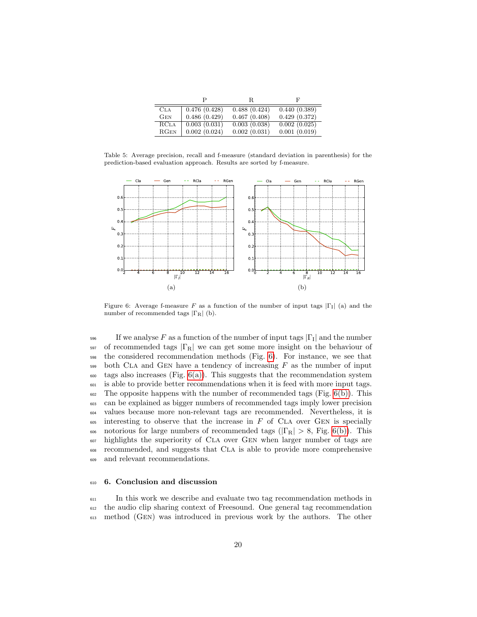| <b>CLA</b>  | 0.476(0.428) | 0.488(0.424) | 0.440(0.389) |
|-------------|--------------|--------------|--------------|
| <b>GEN</b>  | 0.486(0.429) | 0.467(0.408) | 0.429(0.372) |
| <b>RCLA</b> | 0.003(0.031) | 0.003(0.038) | 0.002(0.025) |
| <b>RGEN</b> | 0.002(0.024) | 0.002(0.031) | 0.001(0.019) |

<span id="page-19-1"></span>Table 5: Average precision, recall and f-measure (standard deviation in parenthesis) for the prediction-based evaluation approach. Results are sorted by f-measure.

<span id="page-19-3"></span>

<span id="page-19-4"></span><span id="page-19-2"></span>Figure 6: Average f-measure F as a function of the number of input tags  $|\Gamma_{I}|$  (a) and the number of recommended tags  $|\Gamma_R|$  (b).

<sup>596</sup> If we analyse F as a function of the number of input tags  $|\Gamma_I|$  and the number 597 of recommended tags  $|\Gamma_R|$  we can get some more insight on the behaviour of the considered recommendation methods (Fig. [6\)](#page-19-2). For instance, we see that both CLA and GEN have a tendency of increasing F as the number of input  $\frac{600}{1000}$  tags also increases (Fig. [6\(a\)\)](#page-19-3). This suggests that the recommendation system is able to provide better recommendations when it is feed with more input tags. The opposite happens with the number of recommended tags (Fig.  $6(b)$ ). This can be explained as bigger numbers of recommended tags imply lower precision values because more non-relevant tags are recommended. Nevertheless, it is  $\frac{605}{100}$  interesting to observe that the increase in F of CLA over GEN is specially 606 notorious for large numbers of recommended tags ( $|\Gamma_R| > 8$ , Fig. [6\(b\)\)](#page-19-4). This highlights the superiority of Cla over Gen when larger number of tags are recommended, and suggests that Cla is able to provide more comprehensive and relevant recommendations.

## <span id="page-19-0"></span><sup>610</sup> 6. Conclusion and discussion

 $\epsilon_{01}$  In this work we describe and evaluate two tag recommendation methods in <sup>612</sup> the audio clip sharing context of Freesound. One general tag recommendation <sup>613</sup> method (Gen) was introduced in previous work by the authors. The other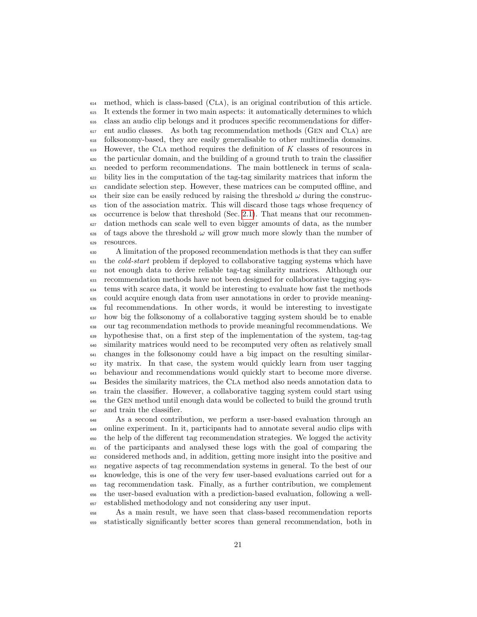method, which is class-based (CLA), is an original contribution of this article. It extends the former in two main aspects: it automatically determines to which class an audio clip belongs and it produces specific recommendations for differ- ent audio classes. As both tag recommendation methods (Gen and Cla) are folksonomy-based, they are easily generalisable to other multimedia domains.  $_{619}$  However, the CLA method requires the definition of K classes of resources in the particular domain, and the building of a ground truth to train the classifier needed to perform recommendations. The main bottleneck in terms of scala- bility lies in the computation of the tag-tag similarity matrices that inform the candidate selection step. However, these matrices can be computed offline, and  $\epsilon_{624}$  their size can be easily reduced by raising the threshold  $\omega$  during the construc- tion of the association matrix. This will discard those tags whose frequency of occurrence is below that threshold (Sec. [2.1\)](#page-3-2). That means that our recommen- dation methods can scale well to even bigger amounts of data, as the number 628 of tags above the threshold  $\omega$  will grow much more slowly than the number of resources.

 A limitation of the proposed recommendation methods is that they can suffer the cold-start problem if deployed to collaborative tagging systems which have not enough data to derive reliable tag-tag similarity matrices. Although our recommendation methods have not been designed for collaborative tagging sys- tems with scarce data, it would be interesting to evaluate how fast the methods could acquire enough data from user annotations in order to provide meaning- ful recommendations. In other words, it would be interesting to investigate how big the folksonomy of a collaborative tagging system should be to enable our tag recommendation methods to provide meaningful recommendations. We hypothesise that, on a first step of the implementation of the system, tag-tag similarity matrices would need to be recomputed very often as relatively small changes in the folksonomy could have a big impact on the resulting similar- ity matrix. In that case, the system would quickly learn from user tagging behaviour and recommendations would quickly start to become more diverse. Besides the similarity matrices, the Cla method also needs annotation data to train the classifier. However, a collaborative tagging system could start using the Gen method until enough data would be collected to build the ground truth and train the classifier.

 As a second contribution, we perform a user-based evaluation through an online experiment. In it, participants had to annotate several audio clips with the help of the different tag recommendation strategies. We logged the activity of the participants and analysed these logs with the goal of comparing the considered methods and, in addition, getting more insight into the positive and negative aspects of tag recommendation systems in general. To the best of our knowledge, this is one of the very few user-based evaluations carried out for a tag recommendation task. Finally, as a further contribution, we complement the user-based evaluation with a prediction-based evaluation, following a well-established methodology and not considering any user input.

 As a main result, we have seen that class-based recommendation reports statistically significantly better scores than general recommendation, both in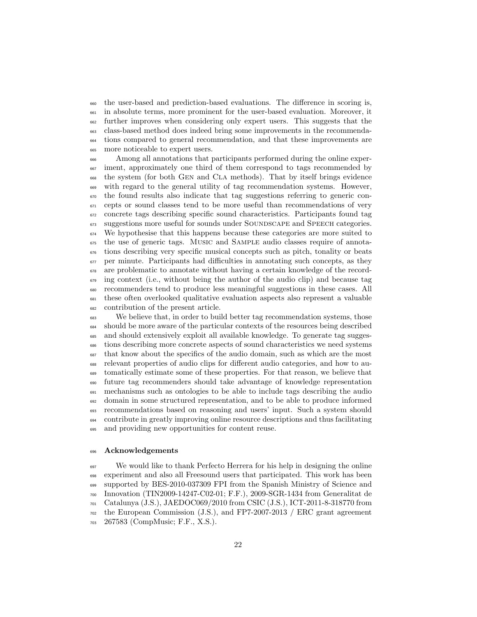the user-based and prediction-based evaluations. The difference in scoring is, in absolute terms, more prominent for the user-based evaluation. Moreover, it further improves when considering only expert users. This suggests that the class-based method does indeed bring some improvements in the recommenda- tions compared to general recommendation, and that these improvements are more noticeable to expert users.

 Among all annotations that participants performed during the online experiment, approximately one third of them correspond to tags recommended by the system (for both Gen and Cla methods). That by itself brings evidence with regard to the general utility of tag recommendation systems. However, the found results also indicate that tag suggestions referring to generic con- cepts or sound classes tend to be more useful than recommendations of very concrete tags describing specific sound characteristics. Participants found tag suggestions more useful for sounds under Soundscape and Speech categories. We hypothesise that this happens because these categories are more suited to the use of generic tags. Music and Sample audio classes require of annota- tions describing very specific musical concepts such as pitch, tonality or beats per minute. Participants had difficulties in annotating such concepts, as they are problematic to annotate without having a certain knowledge of the record- $\epsilon_{679}$  ing context (i.e., without being the author of the audio clip) and because tag recommenders tend to produce less meaningful suggestions in these cases. All these often overlooked qualitative evaluation aspects also represent a valuable contribution of the present article.

 We believe that, in order to build better tag recommendation systems, those should be more aware of the particular contexts of the resources being described and should extensively exploit all available knowledge. To generate tag suggestions describing more concrete aspects of sound characteristics we need systems that know about the specifics of the audio domain, such as which are the most relevant properties of audio clips for different audio categories, and how to au- tomatically estimate some of these properties. For that reason, we believe that future tag recommenders should take advantage of knowledge representation mechanisms such as ontologies to be able to include tags describing the audio domain in some structured representation, and to be able to produce informed recommendations based on reasoning and users' input. Such a system should contribute in greatly improving online resource descriptions and thus facilitating and providing new opportunities for content reuse.

## Acknowledgements

 We would like to thank Perfecto Herrera for his help in designing the online experiment and also all Freesound users that participated. This work has been supported by BES-2010-037309 FPI from the Spanish Ministry of Science and Innovation (TIN2009-14247-C02-01; F.F.), 2009-SGR-1434 from Generalitat de Catalunya (J.S.), JAEDOC069/2010 from CSIC (J.S.), ICT-2011-8-318770 from the European Commission (J.S.), and FP7-2007-2013 / ERC grant agreement 267583 (CompMusic; F.F., X.S.).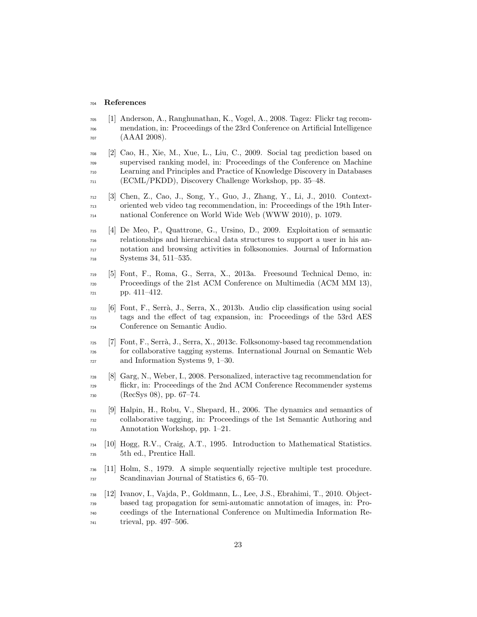## References

- <span id="page-22-5"></span> [1] Anderson, A., Ranghunathan, K., Vogel, A., 2008. Tagez: Flickr tag recom- mendation, in: Proceedings of the 23rd Conference on Artificial Intelligence (AAAI 2008).
- <span id="page-22-7"></span> [2] Cao, H., Xie, M., Xue, L., Liu, C., 2009. Social tag prediction based on supervised ranking model, in: Proceedings of the Conference on Machine Learning and Principles and Practice of Knowledge Discovery in Databases (ECML/PKDD), Discovery Challenge Workshop, pp. 35–48.
- <span id="page-22-6"></span> [3] Chen, Z., Cao, J., Song, Y., Guo, J., Zhang, Y., Li, J., 2010. Context- oriented web video tag recommendation, in: Proceedings of the 19th Inter-national Conference on World Wide Web (WWW 2010), p. 1079.
- <span id="page-22-2"></span> [4] De Meo, P., Quattrone, G., Ursino, D., 2009. Exploitation of semantic relationships and hierarchical data structures to support a user in his an- notation and browsing activities in folksonomies. Journal of Information Systems 34, 511–535.
- <span id="page-22-8"></span> [5] Font, F., Roma, G., Serra, X., 2013a. Freesound Technical Demo, in: Proceedings of the 21st ACM Conference on Multimedia (ACM MM 13), pp. 411–412.
- <span id="page-22-9"></span> [6] Font, F., Serr`a, J., Serra, X., 2013b. Audio clip classification using social tags and the effect of tag expansion, in: Proceedings of the 53rd AES Conference on Semantic Audio.
- <span id="page-22-4"></span> [7] Font, F., Serr`a, J., Serra, X., 2013c. Folksonomy-based tag recommendation for collaborative tagging systems. International Journal on Semantic Web and Information Systems 9, 1–30.
- <span id="page-22-3"></span> [8] Garg, N., Weber, I., 2008. Personalized, interactive tag recommendation for flickr, in: Proceedings of the 2nd ACM Conference Recommender systems (RecSys 08), pp. 67–74.
- <span id="page-22-0"></span> [9] Halpin, H., Robu, V., Shepard, H., 2006. The dynamics and semantics of collaborative tagging, in: Proceedings of the 1st Semantic Authoring and Annotation Workshop, pp. 1–21.
- <span id="page-22-11"></span> [10] Hogg, R.V., Craig, A.T., 1995. Introduction to Mathematical Statistics. 5th ed., Prentice Hall.
- <span id="page-22-10"></span> [11] Holm, S., 1979. A simple sequentially rejective multiple test procedure. Scandinavian Journal of Statistics 6, 65–70.
- <span id="page-22-1"></span> [12] Ivanov, I., Vajda, P., Goldmann, L., Lee, J.S., Ebrahimi, T., 2010. Object- based tag propagation for semi-automatic annotation of images, in: Pro- ceedings of the International Conference on Multimedia Information Re-trieval, pp. 497–506.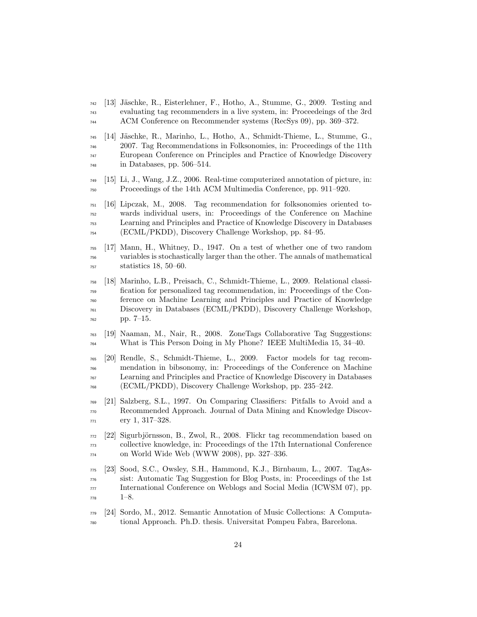- <span id="page-23-2"></span> [13] Jäschke, R., Eisterlehner, F., Hotho, A., Stumme, G., 2009. Testing and evaluating tag recommenders in a live system, in: Proceedeings of the 3rd ACM Conference on Recommender systems (RecSys 09), pp. 369–372.
- <span id="page-23-0"></span> $_{745}$  [14] Jäschke, R., Marinho, L., Hotho, A., Schmidt-Thieme, L., Stumme, G., 2007. Tag Recommendations in Folksonomies, in: Proceedings of the 11th European Conference on Principles and Practice of Knowledge Discovery in Databases, pp. 506–514.
- <span id="page-23-4"></span> [15] Li, J., Wang, J.Z., 2006. Real-time computerized annotation of picture, in: Proceedings of the 14th ACM Multimedia Conference, pp. 911–920.
- <span id="page-23-7"></span> [16] Lipczak, M., 2008. Tag recommendation for folksonomies oriented to- wards individual users, in: Proceedings of the Conference on Machine Learning and Principles and Practice of Knowledge Discovery in Databases (ECML/PKDD), Discovery Challenge Workshop, pp. 84–95.
- <span id="page-23-10"></span> [17] Mann, H., Whitney, D., 1947. On a test of whether one of two random variables is stochastically larger than the other. The annals of mathematical statistics 18, 50–60.
- <span id="page-23-8"></span> [18] Marinho, L.B., Preisach, C., Schmidt-Thieme, L., 2009. Relational classi- fication for personalized tag recommendation, in: Proceedings of the Con- ference on Machine Learning and Principles and Practice of Knowledge Discovery in Databases (ECML/PKDD), Discovery Challenge Workshop,  $_{762}$  pp.  $7-15$ .
- <span id="page-23-6"></span> [19] Naaman, M., Nair, R., 2008. ZoneTags Collaborative Tag Suggestions: What is This Person Doing in My Phone? IEEE MultiMedia 15, 34–40.
- <span id="page-23-9"></span> [20] Rendle, S., Schmidt-Thieme, L., 2009. Factor models for tag recom- mendation in bibsonomy, in: Proceedings of the Conference on Machine Learning and Principles and Practice of Knowledge Discovery in Databases (ECML/PKDD), Discovery Challenge Workshop, pp. 235–242.
- <span id="page-23-11"></span> [21] Salzberg, S.L., 1997. On Comparing Classifiers: Pitfalls to Avoid and a Recommended Approach. Journal of Data Mining and Knowledge Discov-ery 1, 317–328.
- <span id="page-23-5"></span> [22] Sigurbjörnsson, B., Zwol, R., 2008. Flickr tag recommendation based on collective knowledge, in: Proceedings of the 17th International Conference on World Wide Web (WWW 2008), pp. 327–336.
- <span id="page-23-1"></span> [23] Sood, S.C., Owsley, S.H., Hammond, K.J., Birnbaum, L., 2007. TagAs- sist: Automatic Tag Suggestion for Blog Posts, in: Proceedings of the 1st International Conference on Weblogs and Social Media (ICWSM 07), pp.  $1 - 8.$
- <span id="page-23-3"></span> [24] Sordo, M., 2012. Semantic Annotation of Music Collections: A Computa-tional Approach. Ph.D. thesis. Universitat Pompeu Fabra, Barcelona.